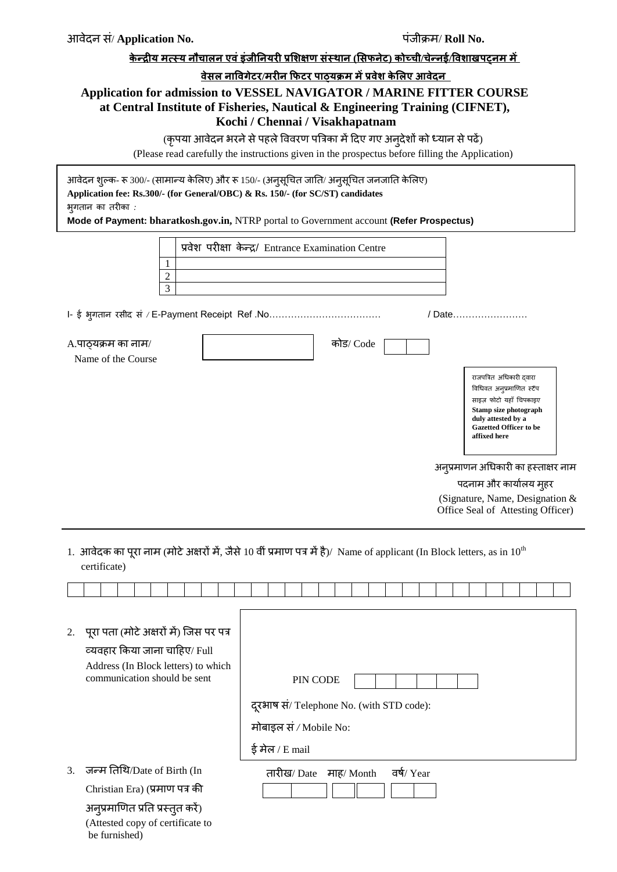# **के न्द्रीय मत्स्य नौचाऱन एवंइंजीननयरी प्रशिऺण सं्थान (शसपनेट) कोच्ची/चेन्द्नई/वविाखऩट्नम में**

#### **वेसऱ नाववगेटर/मरीन फपटर ऩाठ्यक्रम मेंप्रवेि के शऱए आवेदन**

# **Application for admission to VESSEL NAVIGATOR / MARINE FITTER COURSE at Central Institute of Fisheries, Nautical & Engineering Training (CIFNET), Kochi / Chennai / Visakhapatnam**

(कृपया आवेदन भरने से पहले विवरण पत्रिका में दिए गए अनुदेशों को ध्यान से पढें)

(Please read carefully the instructions given in the prospectus before filling the Application)

आवेदन शुल्क- रू 300/- (साभान्म के लरए) औय रू 150/- (अनुसूचित जातत/ अनुसूचित जनजातत के लरए) **Application fee: Rs.300/- (for General/OBC) & Rs. 150/- (for SC/ST) candidates** बुगतान का तयीका *:* 

**Mode of Payment: bharatkosh.gov.in,** NTRP portal to Government account **(Refer Prospectus)**

| प्रवेश परीक्षा केन्द्र/ Entrance Examination Centre                                                                                                                             |  |
|---------------------------------------------------------------------------------------------------------------------------------------------------------------------------------|--|
|                                                                                                                                                                                 |  |
| $\overline{c}$                                                                                                                                                                  |  |
| 3                                                                                                                                                                               |  |
| / Date……………………                                                                                                                                                                  |  |
| कोड/ Code<br>A.पाठ्यक्रम का नाम/                                                                                                                                                |  |
| Name of the Course                                                                                                                                                              |  |
| राजपत्रित अधिकारी दवारा<br>विधिवत अनुप्रमाणित स्टैंप<br>साइज़ फोटो यहाँ चिपकाइए<br>Stamp size photograph<br>duly attested by a<br><b>Gazetted Officer to be</b><br>affixed here |  |
| अनुप्रमाणन अधिकारी का हस्ताक्षर नाम                                                                                                                                             |  |
| पदनाम और कार्यालय मुहर                                                                                                                                                          |  |
| (Signature, Name, Designation $&$<br>Office Seal of Attesting Officer)                                                                                                          |  |

1. आवेदक का पुरा नाम (मोटे अक्षरों में, जैसे 10 वीं प्रमाण पत्र में है)/ Name of applicant (In Block letters, as in 10<sup>th</sup> certificate)

|                  | 2. पूरा पता (मोटे अक्षरों में) जिस पर पत्र<br>व्यवहार किया जाना चाहिए/ Full<br>Address (In Block letters) to which |                                           |
|------------------|--------------------------------------------------------------------------------------------------------------------|-------------------------------------------|
|                  | communication should be sent                                                                                       | PIN CODE                                  |
|                  |                                                                                                                    | दूरभाष सं/ Telephone No. (with STD code): |
|                  |                                                                                                                    | मोबाइल सं / Mobile No:                    |
|                  |                                                                                                                    | ई मेल / E mail                            |
| $\mathfrak{Z}$ . | जन्म तिथि/Date of Birth (In                                                                                        | वर्ष/ Year<br>तारीख/ Date<br>माह⁄ Month   |
|                  | Christian Era) (प्रमाण पत्र की                                                                                     |                                           |
|                  | अनुप्रमाणित प्रति प्रस्तुत करें)                                                                                   |                                           |
|                  | (Attested copy of certificate to<br>be furnished)                                                                  |                                           |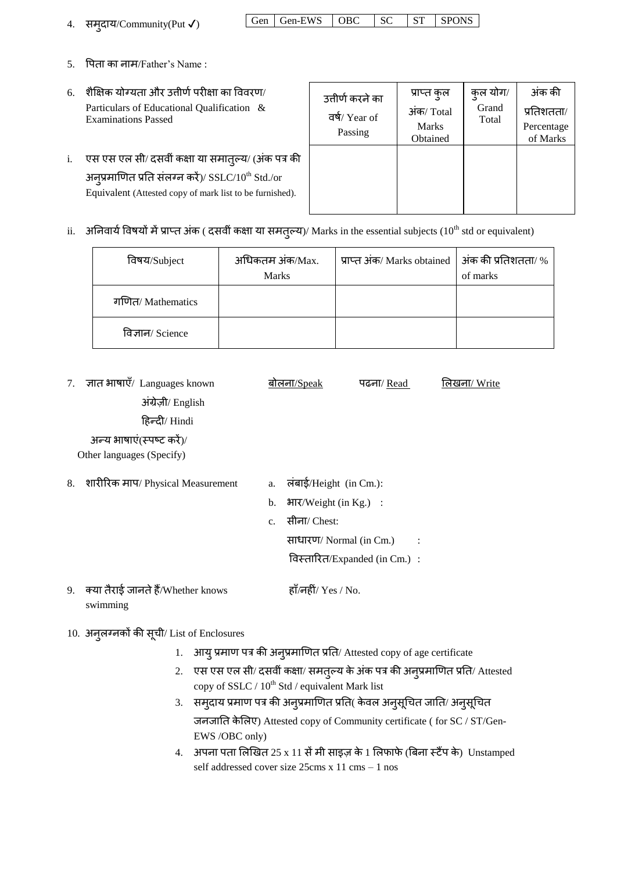| 4. | समुदाय/Community(Put $\checkmark$ ) |
|----|-------------------------------------|
|    |                                     |

| 4. समुदाय/Community(Put √) | $\vert$ Gen $\vert$ Gen-EWS $\vert$ OBC $\vert$ SC $\vert$ ST $\vert$ SPONS |  |  |
|----------------------------|-----------------------------------------------------------------------------|--|--|
|                            |                                                                             |  |  |

- $5.$  पिता का नाम/Father's Name:
- $6.$  शैक्षिक योग्यता और उत्तीर्ण परीक्षा का विवरण/ Particulars of Educational Qualification & Examinations Passed
- i. एस एस एल सी/ दसवीं कक्षा या समात्*ल्य/ (अंक पत्र की* अनुप्रमाणित प्रति संलग्न करें)/  $\mathrm{SSLC}/10^\mathrm{th}\ \mathrm{Std}$ ./or Equivalent (Attested copy of mark list to be furnished).

| उत्तीर्ण करने का | प्राप्त कुल  | कुल योग/       | अंक की     |
|------------------|--------------|----------------|------------|
| वर्ष/Year of     | अंक/Total    | Grand<br>Total | प्रतिशतता/ |
| Passing          | <b>Marks</b> |                | Percentage |
|                  | Obtained     |                | of Marks   |
|                  |              |                |            |
|                  |              |                |            |
|                  |              |                |            |
|                  |              |                |            |
|                  |              |                |            |

ii. अनिवार्य विषयों में प्राप्त अंक ( दसवीं कक्षा या समतुल्य)/ Marks in the essential subjects (10<sup>th</sup> std or equivalent)

| विषय/Subject      | अधिकतम अंक/Max.<br><b>Marks</b> | प्राप्त अंक/ Marks obtained   अंक की प्रतिशतता/ % | of marks |
|-------------------|---------------------------------|---------------------------------------------------|----------|
| गणित/ Mathematics |                                 |                                                   |          |
| विज्ञान/ Science  |                                 |                                                   |          |

7. ज्ञात भाषाएँ/ Languages known अंग्रेज़ी/ English दहन्दी/ Hindi अन्य भाषाएं(स्पष्ट करें)/ Other languages (Specify) <u>बोलना/Speak</u> पढना/ Read लिखना/ Write 8. शारीरिक माप/ Physical Measurement a. लंबाई/Height (in Cm.):

- 
- b. बाय/Weight (in Kg.) :
- c. सीना/ Chest:

साधायण/ Normal (in Cm.) :

विस्तारित/Expanded (in Cm.) :

- 9. क्मा तैयाई जानतेहैं/Whether knows swimming हाँ/नहीं/  $Yes / No.$
- 10. अनुरग्नकों की सूिी/ List of Enclosures
	- 1. आयु प्रमाण पत्र की अनुप्रमाणित प्रति/ Attested copy of age certificate
	- 2. एस एस एल सी/ दसवीं कक्षा/ समतुल्य के अंक पत्र की अनुप्रमाणित प्रति/ Attested copy of SSLC / 10<sup>th</sup> Std / equivalent Mark list
	- 3. समुदाय प्रमाण पत्र की अनुप्रमाणित प्रति( केवल अनुसूचित जाति/ अनुसूचित जनजातत के लरए) Attested copy of Community certificate ( for SC / ST/Gen-EWS /OBC only)
	- 4. अपना पता लिखित 25 x 11 सें मी साइज़ के 1 लिफाफे (बिना स्टैंप के) Unstamped self addressed cover size 25cms x 11 cms – 1 nos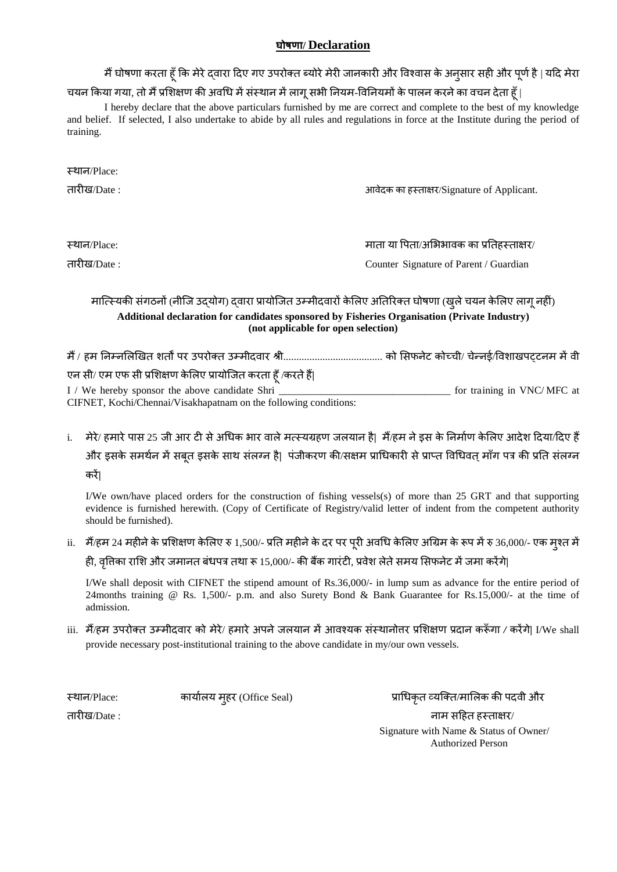#### **घोषणा/ Declaration**

मैं घोषणा करता हूँ कि मेरे दवारा दिए गए उपरोक्त ब्योरे मेरी जानकारी और विश्वास के अनुसार सही और पूर्ण है | यदि मेरा

#### चयन किया गया, तो मैं प्रशिक्षण की अवधि में संस्थान में लागू सभी नियम-विनियमों के पालन करने का वचन देता हूँ |

I hereby declare that the above particulars furnished by me are correct and complete to the best of my knowledge and belief. If selected, I also undertake to abide by all rules and regulations in force at the Institute during the period of training.

| स्थान/Place: |                                            |
|--------------|--------------------------------------------|
| तारीख/Date : | आवेदक का हस्ताक्षर/Signature of Applicant. |
|              |                                            |
|              |                                            |
| स्थान/Place: | माता या पिता/अभिभावक का प्रतिहस्ताक्षर/    |
| तारीख/Date : | Counter Signature of Parent / Guardian     |

#### मात्स्मिकी संगठनों (नीजि उदयोग) दवारा प्रायोजित उम्मीदवारों केलिए अतिरिक्त घोषणा (खुले चयन केलिए लागू नहीं) **Additional declaration for candidates sponsored by Fisheries Organisation (Private Industry) (not applicable for open selection)**

भैं / हभ तनम्नलरणखत शतों ऩय उऩयोक्त उम्भीदवाय श्री...................................... को लसपनेट कोच्िी/ िेन्नई/ववशाखऩट्टनभ भेंवी एन सी/ एभ एप सी प्रलशऺण के लरए प्रामोजजत कयता हूॉ/कयतेहैं**|** I / We hereby sponsor the above candidate Shri \_\_\_\_\_\_\_\_\_\_\_\_\_\_\_\_\_\_\_\_\_\_\_\_\_\_\_\_\_\_\_\_\_ for training in VNC/ MFC at

- CIFNET, Kochi/Chennai/Visakhapatnam on the following conditions:
- i. मेरे/ हमारे पास 25 जी आर टी से अधिक भार वाले मत्स्यग्रहण जलयान है| मैं/हम ने इस के निर्माण केलिए आदेश दिया/दिए हैं और इसके समर्थन में सब्**त इसके साथ संलग्न है|** पंजीकरण की/सक्षम प्राधिकारी से प्राप्त विधिवत माँग पत्र की प्रति संलग्न कयें**|**

I/We own/have placed orders for the construction of fishing vessels(s) of more than 25 GRT and that supporting evidence is furnished herewith. (Copy of Certificate of Registry/valid letter of indent from the competent authority should be furnished).

ii. मैं/हम 24 महीने के प्रशिक्षण केलिए रु 1,500/- प्रति महीने के दर पर पूरी अवधि केलिए अग्रिम के रूप में रु 36,000/- एक मुश्त में ही, वृत्तिका राशि और जमानत बंधपत्र तथा रू 15,000/- की बैंक गारंटी, प्रवेश लेते समय सिफनेट में जमा करेंगे|

I/We shall deposit with CIFNET the stipend amount of Rs.36,000/- in lump sum as advance for the entire period of 24months training @ Rs. 1,500/- p.m. and also Surety Bond & Bank Guarantee for Rs.15,000/- at the time of admission.

iii. भैं/हभ उऩयोक्त उम्भीदवाय को भेये/ हभायेअऩनेजरमान भेंआवश्मक सॊस्थानोत्तय प्रलशऺण प्रदान करूॉगा */* कयेंगे**|** I/We shall provide necessary post-institutional training to the above candidate in my/our own vessels.

स्थान/Place: कार्यालय मुहर (Office Seal) प्राधिकृत व्यक्ति/मालिक की पदवी और तायीख/Date : नाभ सदहत हस्ताऺय/ Signature with Name & Status of Owner/ Authorized Person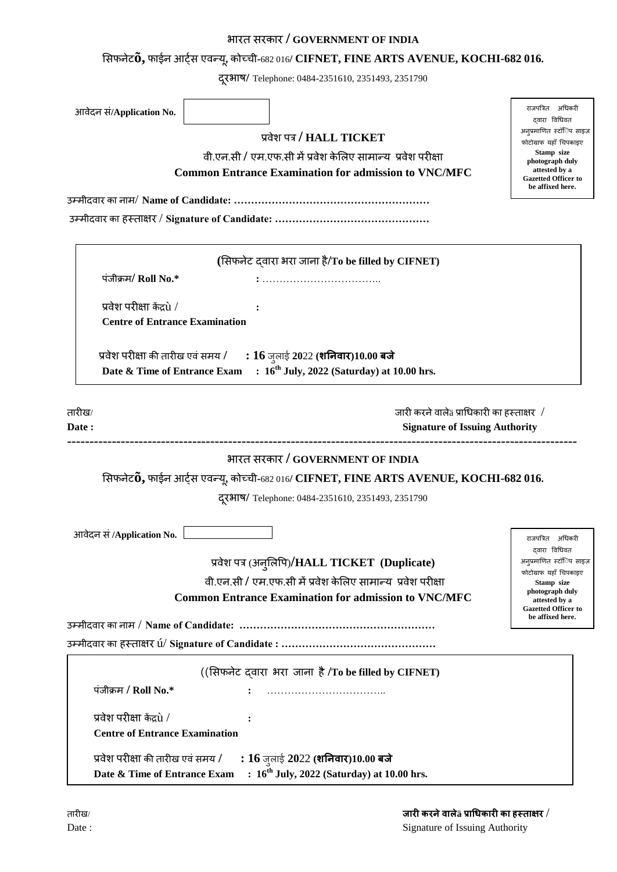# बायत सयकाय **/ GOVERNMENT OF INDIA**

# लसपनेट**õ,** पाईन आट्ास एवन्मू**,** कोच्िी**-**682 016**/ CIFNET, FINE ARTS AVENUE, KOCHI-682 016.**

दयूबाष**/** Telephone: 0484-2351610, 2351493, 2351790

| आवेदन सं/Application No.                                    |                                                                                   |                                                                                                                                       | राजपत्रित अधिकरी<br>दवारा विधिवत                    |
|-------------------------------------------------------------|-----------------------------------------------------------------------------------|---------------------------------------------------------------------------------------------------------------------------------------|-----------------------------------------------------|
|                                                             | प्रवेश पत्र / HALL TICKET                                                         |                                                                                                                                       | अनुप्रमाणित स्टॉॅंिप साइज़                          |
|                                                             | वी.एन.सी / एम.एफ.सी में प्रवेश केलिए सामान्य  प्रवेश परीक्षा                      |                                                                                                                                       | फोटोग्राफ यहाँ चिपकाइए<br>Stamp size                |
|                                                             | photograph duly<br>attested by a                                                  |                                                                                                                                       |                                                     |
| <b>Common Entrance Examination for admission to VNC/MFC</b> | <b>Gazetted Officer to</b><br>be affixed here.                                    |                                                                                                                                       |                                                     |
|                                                             |                                                                                   |                                                                                                                                       |                                                     |
|                                                             |                                                                                   |                                                                                                                                       |                                                     |
|                                                             | (सिफनेट दवारा भरा जाना है/To be filled by CIFNET)                                 |                                                                                                                                       |                                                     |
| पंजीक्रम/Roll No.*                                          |                                                                                   |                                                                                                                                       |                                                     |
|                                                             |                                                                                   |                                                                                                                                       |                                                     |
| प्रवेश परीक्षा केंद्रपे /                                   |                                                                                   |                                                                                                                                       |                                                     |
| <b>Centre of Entrance Examination</b>                       |                                                                                   |                                                                                                                                       |                                                     |
|                                                             |                                                                                   |                                                                                                                                       |                                                     |
|                                                             | प्रवेश परीक्षा की तारीख एवं समय / $\qquad$ : $16$ जुलाई 2022 (शनिवार)10.00 बजे    |                                                                                                                                       |                                                     |
| Date & Time of Entrance Exam                                | $: 16th$ July, 2022 (Saturday) at 10.00 hrs.                                      |                                                                                                                                       |                                                     |
|                                                             |                                                                                   |                                                                                                                                       |                                                     |
| तारीख⁄                                                      |                                                                                   | जारी करने वाले $\mathrm{a}\,\mathrm{s}$ प्राधिकारी का हस्ताक्षर $\sqrt{2}$                                                            |                                                     |
| Date:                                                       |                                                                                   | <b>Signature of Issuing Authority</b>                                                                                                 |                                                     |
|                                                             |                                                                                   |                                                                                                                                       |                                                     |
|                                                             | भारत सरकार / GOVERNMENT OF INDIA                                                  |                                                                                                                                       |                                                     |
|                                                             |                                                                                   | सिफनेट $\mathbf{\tilde{0},}$ फाईन आर्ट्स एवन्यू, कोच्ची-682 016/ $\bf CIFNET$ , $\bf FINE$ <b>ARTS AVENUE</b> , <b>KOCHI-682</b> 016. |                                                     |
|                                                             | दूरभाष/ Telephone: 0484-2351610, 2351493, 2351790                                 |                                                                                                                                       |                                                     |
|                                                             |                                                                                   |                                                                                                                                       |                                                     |
| आवेदन सं /Application No.                                   |                                                                                   |                                                                                                                                       | राजपत्रित अधिकरी                                    |
|                                                             |                                                                                   |                                                                                                                                       | द्वारा विधिवत                                       |
|                                                             | प्रवेश पत्र (अनुलिपि)/HALL TICKET (Duplicate)                                     |                                                                                                                                       | अनुप्रमाणित स्टॉॅिप साइज़<br>फोटोग्राफ यहाँ चिपकाइए |
|                                                             | वी.एन.सी / एम.एफ.सी में प्रवेश केलिए सामान्य प्रवेश परीक्षा                       |                                                                                                                                       | Stamp size                                          |
|                                                             | <b>Common Entrance Examination for admission to VNC/MFC</b>                       |                                                                                                                                       | photograph duly<br>attested by a                    |
|                                                             |                                                                                   |                                                                                                                                       | <b>Gazetted Officer to</b><br>be affixed here.      |
|                                                             |                                                                                   |                                                                                                                                       |                                                     |
|                                                             |                                                                                   |                                                                                                                                       |                                                     |
|                                                             | ((सिफनेट दवारा भरा जाना है /To be filled by CIFNET)                               |                                                                                                                                       |                                                     |
| पंजीक्रम / Roll No.*                                        |                                                                                   |                                                                                                                                       |                                                     |
|                                                             |                                                                                   |                                                                                                                                       |                                                     |
| प्रवेश परीक्षा केंद्रपे /                                   |                                                                                   |                                                                                                                                       |                                                     |
| <b>Centre of Entrance Examination</b>                       |                                                                                   |                                                                                                                                       |                                                     |
| प्रवेश परीक्षा की तारीख एवं समय /                           |                                                                                   |                                                                                                                                       |                                                     |
| Date & Time of Entrance Exam                                | : 16 जुलाई 2022 (शनिवार)10.00 बजे<br>$: 16th$ July, 2022 (Saturday) at 10.00 hrs. |                                                                                                                                       |                                                     |
|                                                             |                                                                                   |                                                                                                                                       |                                                     |